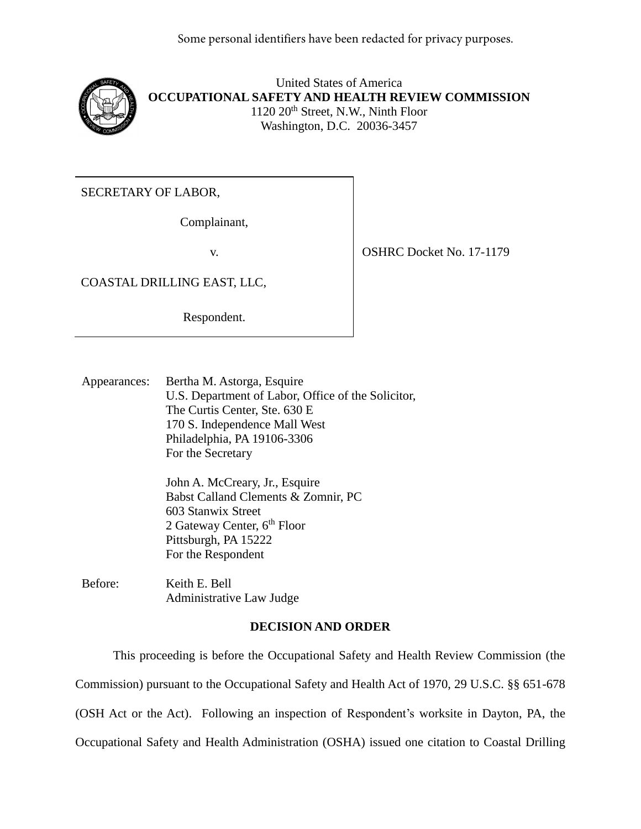

United States of America **OCCUPATIONAL SAFETY AND HEALTH REVIEW COMMISSION** 1120 20<sup>th</sup> Street, N.W., Ninth Floor Washington, D.C. 20036-3457

SECRETARY OF LABOR,

Complainant,

COASTAL DRILLING EAST, LLC,

Respondent.

v. SHRC Docket No. 17-1179

Appearances: Bertha M. Astorga, Esquire U.S. Department of Labor, Office of the Solicitor, The Curtis Center, Ste. 630 E 170 S. Independence Mall West Philadelphia, PA 19106-3306 For the Secretary

> John A. McCreary, Jr., Esquire Babst Calland Clements & Zomnir, PC 603 Stanwix Street 2 Gateway Center, 6<sup>th</sup> Floor Pittsburgh, PA 15222 For the Respondent

Before: Keith E. Bell Administrative Law Judge

# **DECISION AND ORDER**

This proceeding is before the Occupational Safety and Health Review Commission (the Commission) pursuant to the Occupational Safety and Health Act of 1970, 29 U.S.C. §§ 651-678 (OSH Act or the Act). Following an inspection of Respondent's worksite in Dayton, PA, the Occupational Safety and Health Administration (OSHA) issued one citation to Coastal Drilling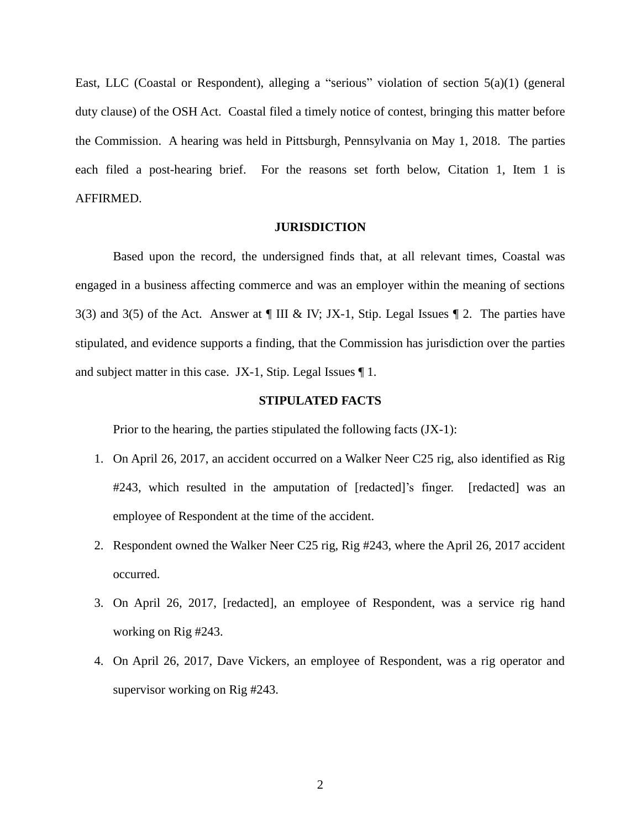East, LLC (Coastal or Respondent), alleging a "serious" violation of section 5(a)(1) (general duty clause) of the OSH Act. Coastal filed a timely notice of contest, bringing this matter before the Commission. A hearing was held in Pittsburgh, Pennsylvania on May 1, 2018. The parties each filed a post-hearing brief. For the reasons set forth below, Citation 1, Item 1 is AFFIRMED.

# **JURISDICTION**

Based upon the record, the undersigned finds that, at all relevant times, Coastal was engaged in a business affecting commerce and was an employer within the meaning of sections 3(3) and 3(5) of the Act. Answer at  $\P$  III & IV; JX-1, Stip. Legal Issues  $\P$  2. The parties have stipulated, and evidence supports a finding, that the Commission has jurisdiction over the parties and subject matter in this case. JX-1, Stip. Legal Issues ¶ 1.

# **STIPULATED FACTS**

Prior to the hearing, the parties stipulated the following facts  $(JX-1)$ :

- 1. On April 26, 2017, an accident occurred on a Walker Neer C25 rig, also identified as Rig #243, which resulted in the amputation of [redacted]'s finger. [redacted] was an employee of Respondent at the time of the accident.
- 2. Respondent owned the Walker Neer C25 rig, Rig #243, where the April 26, 2017 accident occurred.
- 3. On April 26, 2017, [redacted], an employee of Respondent, was a service rig hand working on Rig #243.
- 4. On April 26, 2017, Dave Vickers, an employee of Respondent, was a rig operator and supervisor working on Rig #243.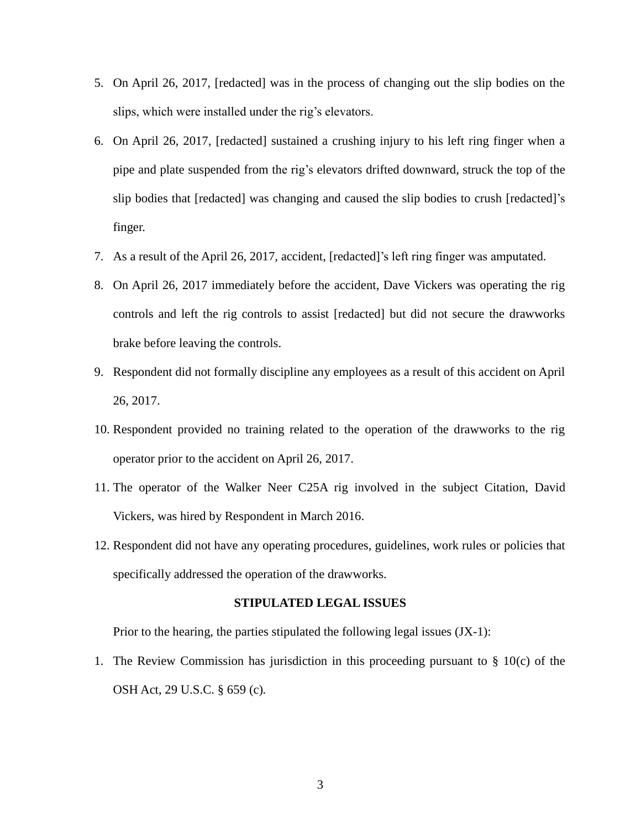- 5. On April 26, 2017, [redacted] was in the process of changing out the slip bodies on the slips, which were installed under the rig's elevators.
- 6. On April 26, 2017, [redacted] sustained a crushing injury to his left ring finger when a pipe and plate suspended from the rig's elevators drifted downward, struck the top of the slip bodies that [redacted] was changing and caused the slip bodies to crush [redacted]'s finger.
- 7. As a result of the April 26, 2017, accident, [redacted]'s left ring finger was amputated.
- 8. On April 26, 2017 immediately before the accident, Dave Vickers was operating the rig controls and left the rig controls to assist [redacted] but did not secure the drawworks brake before leaving the controls.
- 9. Respondent did not formally discipline any employees as a result of this accident on April 26, 2017.
- 10. Respondent provided no training related to the operation of the drawworks to the rig operator prior to the accident on April 26, 2017.
- 11. The operator of the Walker Neer C25A rig involved in the subject Citation, David Vickers, was hired by Respondent in March 2016.
- 12. Respondent did not have any operating procedures, guidelines, work rules or policies that specifically addressed the operation of the drawworks.

#### **STIPULATED LEGAL ISSUES**

Prior to the hearing, the parties stipulated the following legal issues  $(JX-1)$ :

1. The Review Commission has jurisdiction in this proceeding pursuant to  $\S$  10(c) of the OSH Act, 29 U.S.C. § 659 (c)*.*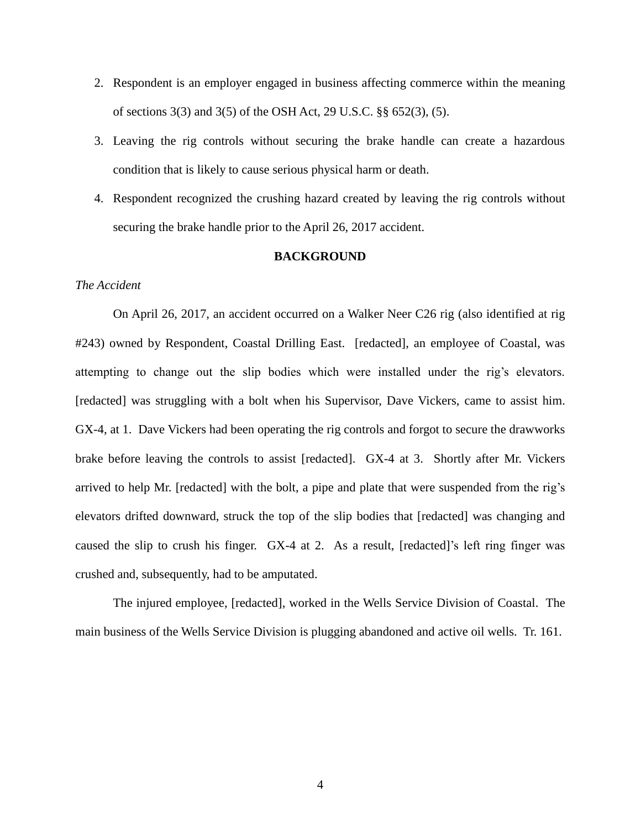- 2. Respondent is an employer engaged in business affecting commerce within the meaning of sections 3(3) and 3(5) of the OSH Act, 29 U.S.C. §§ 652(3), (5).
- 3. Leaving the rig controls without securing the brake handle can create a hazardous condition that is likely to cause serious physical harm or death.
- 4. Respondent recognized the crushing hazard created by leaving the rig controls without securing the brake handle prior to the April 26, 2017 accident.

# **BACKGROUND**

# *The Accident*

On April 26, 2017, an accident occurred on a Walker Neer C26 rig (also identified at rig #243) owned by Respondent, Coastal Drilling East. [redacted], an employee of Coastal, was attempting to change out the slip bodies which were installed under the rig's elevators. [redacted] was struggling with a bolt when his Supervisor, Dave Vickers, came to assist him. GX-4, at 1. Dave Vickers had been operating the rig controls and forgot to secure the drawworks brake before leaving the controls to assist [redacted]. GX-4 at 3. Shortly after Mr. Vickers arrived to help Mr. [redacted] with the bolt, a pipe and plate that were suspended from the rig's elevators drifted downward, struck the top of the slip bodies that [redacted] was changing and caused the slip to crush his finger. GX-4 at 2. As a result, [redacted]'s left ring finger was crushed and, subsequently, had to be amputated.

The injured employee, [redacted], worked in the Wells Service Division of Coastal. The main business of the Wells Service Division is plugging abandoned and active oil wells. Tr. 161.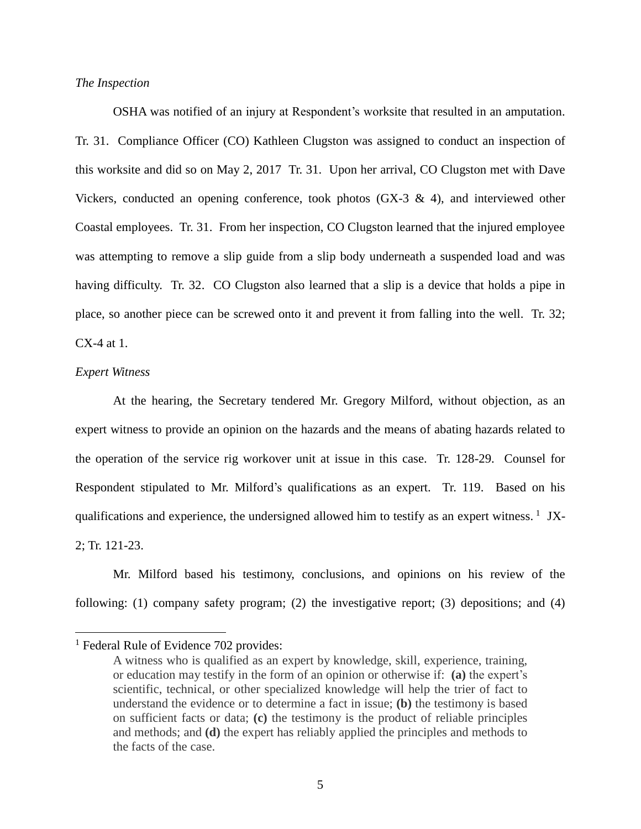### *The Inspection*

OSHA was notified of an injury at Respondent's worksite that resulted in an amputation. Tr. 31. Compliance Officer (CO) Kathleen Clugston was assigned to conduct an inspection of this worksite and did so on May 2, 2017 Tr. 31. Upon her arrival, CO Clugston met with Dave Vickers, conducted an opening conference, took photos (GX-3  $\&$  4), and interviewed other Coastal employees. Tr. 31. From her inspection, CO Clugston learned that the injured employee was attempting to remove a slip guide from a slip body underneath a suspended load and was having difficulty. Tr. 32. CO Clugston also learned that a slip is a device that holds a pipe in place, so another piece can be screwed onto it and prevent it from falling into the well. Tr. 32; CX-4 at 1.

#### *Expert Witness*

 $\overline{a}$ 

At the hearing, the Secretary tendered Mr. Gregory Milford, without objection, as an expert witness to provide an opinion on the hazards and the means of abating hazards related to the operation of the service rig workover unit at issue in this case. Tr. 128-29. Counsel for Respondent stipulated to Mr. Milford's qualifications as an expert. Tr. 119. Based on his qualifications and experience, the undersigned allowed him to testify as an expert witness.<sup>1</sup> JX-2; Tr. 121-23.

Mr. Milford based his testimony, conclusions, and opinions on his review of the following: (1) company safety program; (2) the investigative report; (3) depositions; and (4)

 $<sup>1</sup>$  Federal Rule of Evidence 702 provides:</sup>

A witness who is qualified as an expert by knowledge, skill, experience, training, or education may testify in the form of an opinion or otherwise if: **(a)** the expert's scientific, technical, or other specialized knowledge will help the trier of fact to understand the evidence or to determine a fact in issue; **(b)** the testimony is based on sufficient facts or data; **(c)** the testimony is the product of reliable principles and methods; and **(d)** the expert has reliably applied the principles and methods to the facts of the case.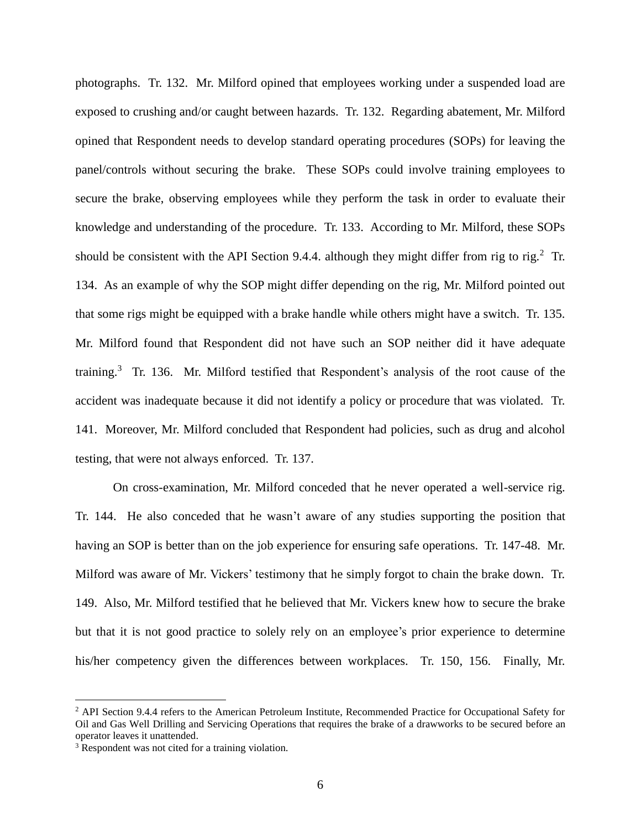photographs. Tr. 132. Mr. Milford opined that employees working under a suspended load are exposed to crushing and/or caught between hazards. Tr. 132. Regarding abatement, Mr. Milford opined that Respondent needs to develop standard operating procedures (SOPs) for leaving the panel/controls without securing the brake. These SOPs could involve training employees to secure the brake, observing employees while they perform the task in order to evaluate their knowledge and understanding of the procedure. Tr. 133. According to Mr. Milford, these SOPs should be consistent with the API Section 9.4.4. although they might differ from rig to rig.<sup>2</sup> Tr. 134. As an example of why the SOP might differ depending on the rig, Mr. Milford pointed out that some rigs might be equipped with a brake handle while others might have a switch. Tr. 135. Mr. Milford found that Respondent did not have such an SOP neither did it have adequate training.<sup>3</sup> Tr. 136. Mr. Milford testified that Respondent's analysis of the root cause of the accident was inadequate because it did not identify a policy or procedure that was violated. Tr. 141. Moreover, Mr. Milford concluded that Respondent had policies, such as drug and alcohol testing, that were not always enforced. Tr. 137.

On cross-examination, Mr. Milford conceded that he never operated a well-service rig. Tr. 144. He also conceded that he wasn't aware of any studies supporting the position that having an SOP is better than on the job experience for ensuring safe operations. Tr. 147-48. Mr. Milford was aware of Mr. Vickers' testimony that he simply forgot to chain the brake down. Tr. 149. Also, Mr. Milford testified that he believed that Mr. Vickers knew how to secure the brake but that it is not good practice to solely rely on an employee's prior experience to determine his/her competency given the differences between workplaces. Tr. 150, 156. Finally, Mr.

<sup>&</sup>lt;sup>2</sup> API Section 9.4.4 refers to the American Petroleum Institute, Recommended Practice for Occupational Safety for Oil and Gas Well Drilling and Servicing Operations that requires the brake of a drawworks to be secured before an operator leaves it unattended.

<sup>&</sup>lt;sup>3</sup> Respondent was not cited for a training violation.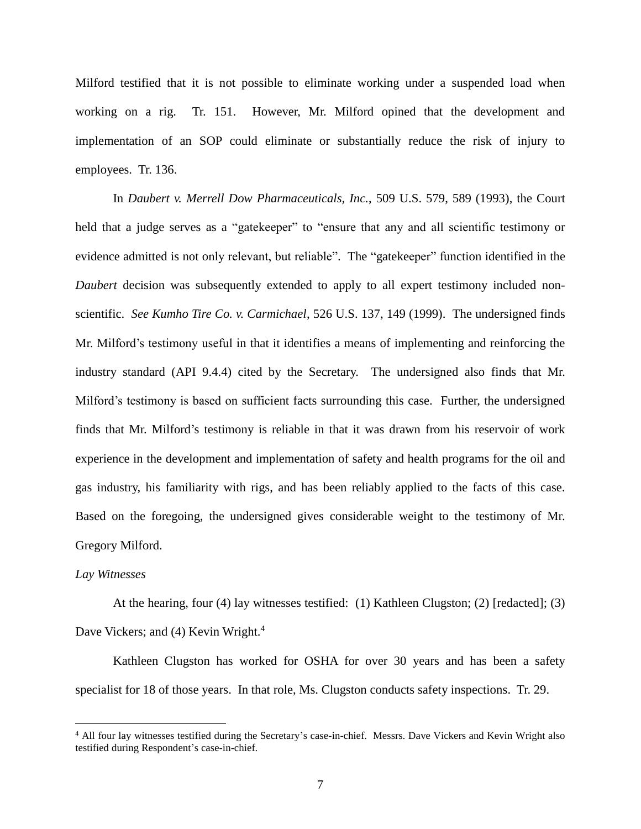Milford testified that it is not possible to eliminate working under a suspended load when working on a rig. Tr. 151. However, Mr. Milford opined that the development and implementation of an SOP could eliminate or substantially reduce the risk of injury to employees. Tr. 136.

In *Daubert v. Merrell Dow Pharmaceuticals, Inc.*, 509 U.S. 579, 589 (1993), the Court held that a judge serves as a "gatekeeper" to "ensure that any and all scientific testimony or evidence admitted is not only relevant, but reliable". The "gatekeeper" function identified in the *Daubert* decision was subsequently extended to apply to all expert testimony included nonscientific. *See Kumho Tire Co. v. Carmichael*, 526 U.S. 137, 149 (1999). The undersigned finds Mr. Milford's testimony useful in that it identifies a means of implementing and reinforcing the industry standard (API 9.4.4) cited by the Secretary. The undersigned also finds that Mr. Milford's testimony is based on sufficient facts surrounding this case. Further, the undersigned finds that Mr. Milford's testimony is reliable in that it was drawn from his reservoir of work experience in the development and implementation of safety and health programs for the oil and gas industry, his familiarity with rigs, and has been reliably applied to the facts of this case. Based on the foregoing, the undersigned gives considerable weight to the testimony of Mr. Gregory Milford.

#### *Lay Witnesses*

 $\overline{a}$ 

At the hearing, four (4) lay witnesses testified: (1) Kathleen Clugston; (2) [redacted]; (3) Dave Vickers; and (4) Kevin Wright.<sup>4</sup>

Kathleen Clugston has worked for OSHA for over 30 years and has been a safety specialist for 18 of those years. In that role, Ms. Clugston conducts safety inspections. Tr. 29.

<sup>4</sup> All four lay witnesses testified during the Secretary's case-in-chief. Messrs. Dave Vickers and Kevin Wright also testified during Respondent's case-in-chief.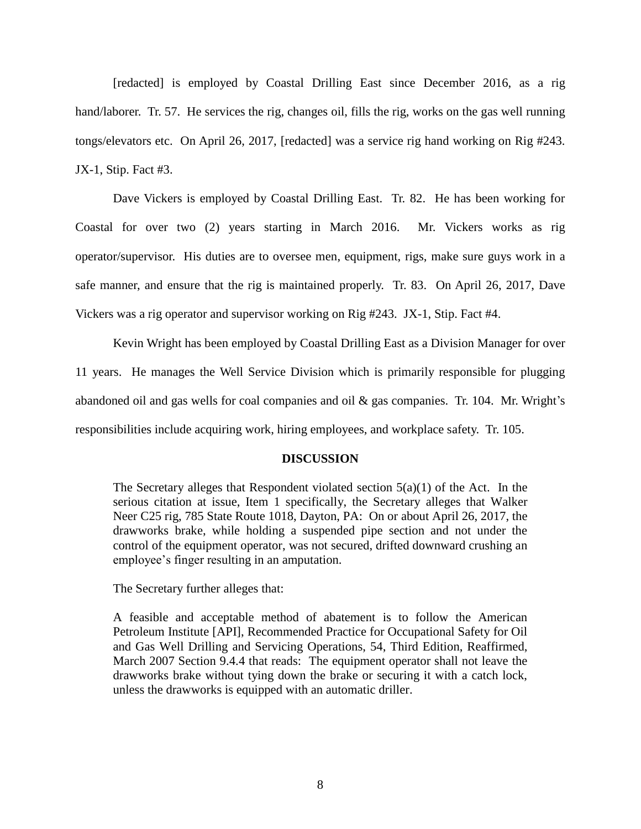[redacted] is employed by Coastal Drilling East since December 2016, as a rig hand/laborer. Tr. 57. He services the rig, changes oil, fills the rig, works on the gas well running tongs/elevators etc. On April 26, 2017, [redacted] was a service rig hand working on Rig #243. JX-1, Stip. Fact #3.

Dave Vickers is employed by Coastal Drilling East. Tr. 82. He has been working for Coastal for over two (2) years starting in March 2016. Mr. Vickers works as rig operator/supervisor. His duties are to oversee men, equipment, rigs, make sure guys work in a safe manner, and ensure that the rig is maintained properly. Tr. 83. On April 26, 2017, Dave Vickers was a rig operator and supervisor working on Rig #243. JX-1, Stip. Fact #4.

Kevin Wright has been employed by Coastal Drilling East as a Division Manager for over 11 years. He manages the Well Service Division which is primarily responsible for plugging abandoned oil and gas wells for coal companies and oil & gas companies. Tr. 104. Mr. Wright's responsibilities include acquiring work, hiring employees, and workplace safety. Tr. 105.

#### **DISCUSSION**

The Secretary alleges that Respondent violated section  $5(a)(1)$  of the Act. In the serious citation at issue, Item 1 specifically, the Secretary alleges that Walker Neer C25 rig, 785 State Route 1018, Dayton, PA: On or about April 26, 2017, the drawworks brake, while holding a suspended pipe section and not under the control of the equipment operator, was not secured, drifted downward crushing an employee's finger resulting in an amputation.

The Secretary further alleges that:

A feasible and acceptable method of abatement is to follow the American Petroleum Institute [API], Recommended Practice for Occupational Safety for Oil and Gas Well Drilling and Servicing Operations, 54, Third Edition, Reaffirmed, March 2007 Section 9.4.4 that reads: The equipment operator shall not leave the drawworks brake without tying down the brake or securing it with a catch lock, unless the drawworks is equipped with an automatic driller.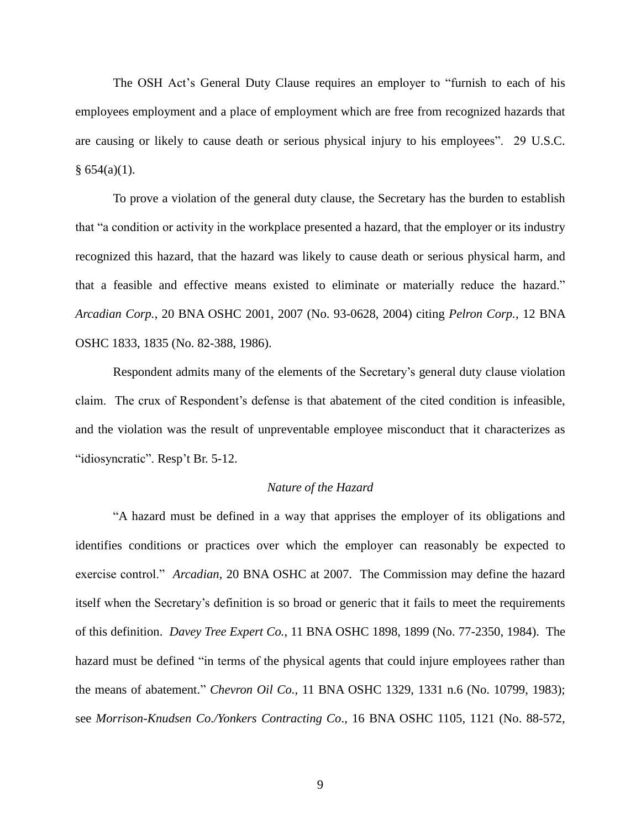The OSH Act's General Duty Clause requires an employer to "furnish to each of his employees employment and a place of employment which are free from recognized hazards that are causing or likely to cause death or serious physical injury to his employees". 29 U.S.C.  $§ 654(a)(1).$ 

To prove a violation of the general duty clause, the Secretary has the burden to establish that "a condition or activity in the workplace presented a hazard, that the employer or its industry recognized this hazard, that the hazard was likely to cause death or serious physical harm, and that a feasible and effective means existed to eliminate or materially reduce the hazard." *Arcadian Corp.*, 20 BNA OSHC 2001, 2007 (No. 93-0628, 2004) citing *Pelron Corp.*, 12 BNA OSHC 1833, 1835 (No. 82-388, 1986).

Respondent admits many of the elements of the Secretary's general duty clause violation claim. The crux of Respondent's defense is that abatement of the cited condition is infeasible, and the violation was the result of unpreventable employee misconduct that it characterizes as "idiosyncratic". Resp't Br. 5-12.

#### *Nature of the Hazard*

"A hazard must be defined in a way that apprises the employer of its obligations and identifies conditions or practices over which the employer can reasonably be expected to exercise control." *Arcadian*, 20 BNA OSHC at 2007. The Commission may define the hazard itself when the Secretary's definition is so broad or generic that it fails to meet the requirements of this definition. *Davey Tree Expert Co.*, 11 BNA OSHC 1898, 1899 (No. 77-2350, 1984). The hazard must be defined "in terms of the physical agents that could injure employees rather than the means of abatement." *Chevron Oil Co.*, 11 BNA OSHC 1329, 1331 n.6 (No. 10799, 1983); see *Morrison-Knudsen Co./Yonkers Contracting Co*., 16 BNA OSHC 1105, 1121 (No. 88-572,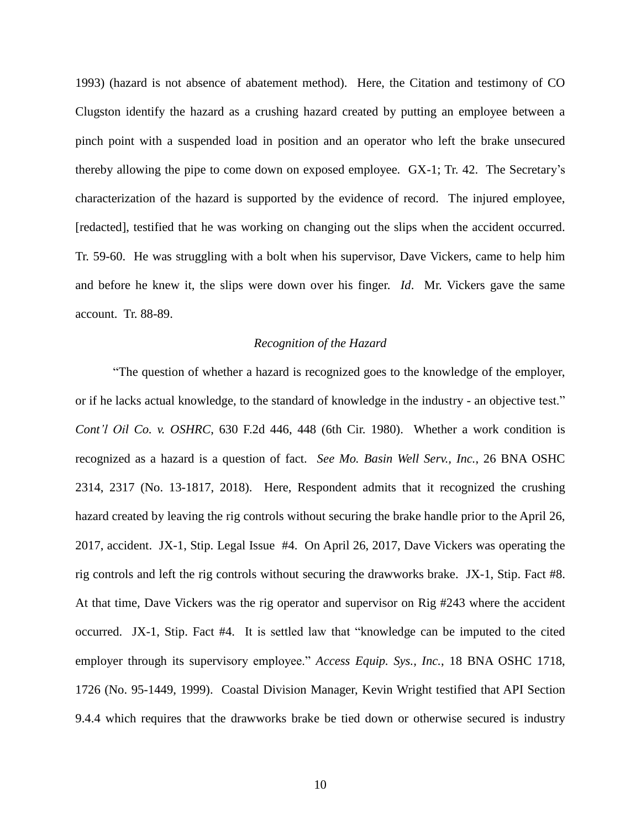1993) (hazard is not absence of abatement method). Here, the Citation and testimony of CO Clugston identify the hazard as a crushing hazard created by putting an employee between a pinch point with a suspended load in position and an operator who left the brake unsecured thereby allowing the pipe to come down on exposed employee. GX-1; Tr. 42. The Secretary's characterization of the hazard is supported by the evidence of record. The injured employee, [redacted], testified that he was working on changing out the slips when the accident occurred. Tr. 59-60. He was struggling with a bolt when his supervisor, Dave Vickers, came to help him and before he knew it, the slips were down over his finger. *Id*. Mr. Vickers gave the same account. Tr. 88-89.

#### *Recognition of the Hazard*

"The question of whether a hazard is recognized goes to the knowledge of the employer, or if he lacks actual knowledge, to the standard of knowledge in the industry - an objective test." *Cont'l Oil Co. v. OSHRC*, 630 F.2d 446, 448 (6th Cir. 1980). Whether a work condition is recognized as a hazard is a question of fact. *See Mo. Basin Well Serv., Inc.*, 26 BNA OSHC 2314, 2317 (No. 13-1817, 2018). Here, Respondent admits that it recognized the crushing hazard created by leaving the rig controls without securing the brake handle prior to the April 26, 2017, accident. JX-1, Stip. Legal Issue #4. On April 26, 2017, Dave Vickers was operating the rig controls and left the rig controls without securing the drawworks brake. JX-1, Stip. Fact #8. At that time, Dave Vickers was the rig operator and supervisor on Rig #243 where the accident occurred. JX-1, Stip. Fact #4. It is settled law that "knowledge can be imputed to the cited employer through its supervisory employee." *Access Equip. Sys., Inc.*, 18 BNA OSHC 1718, 1726 (No. 95-1449, 1999). Coastal Division Manager, Kevin Wright testified that API Section 9.4.4 which requires that the drawworks brake be tied down or otherwise secured is industry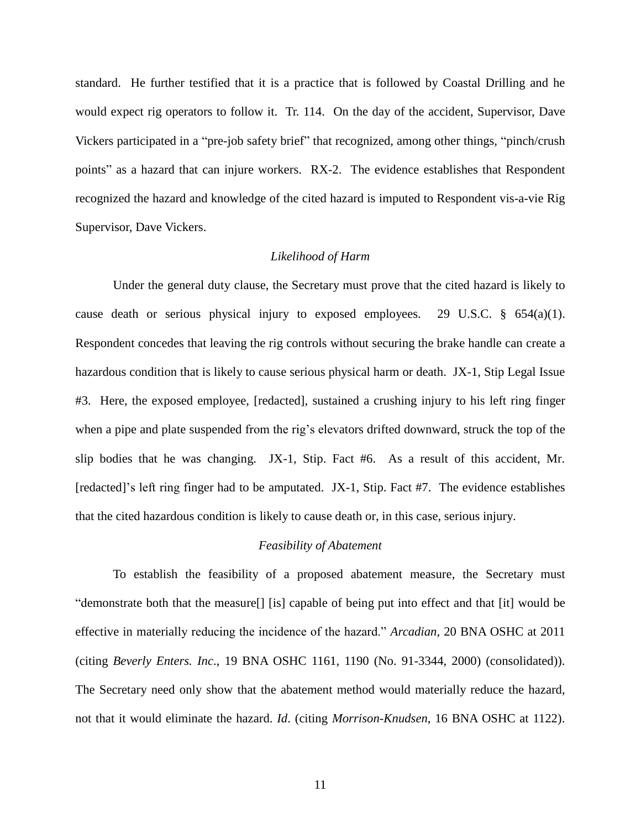standard. He further testified that it is a practice that is followed by Coastal Drilling and he would expect rig operators to follow it. Tr. 114. On the day of the accident, Supervisor, Dave Vickers participated in a "pre-job safety brief" that recognized, among other things, "pinch/crush points" as a hazard that can injure workers. RX-2. The evidence establishes that Respondent recognized the hazard and knowledge of the cited hazard is imputed to Respondent vis-a-vie Rig Supervisor, Dave Vickers.

#### *Likelihood of Harm*

Under the general duty clause, the Secretary must prove that the cited hazard is likely to cause death or serious physical injury to exposed employees. 29 U.S.C.  $\S$  654(a)(1). Respondent concedes that leaving the rig controls without securing the brake handle can create a hazardous condition that is likely to cause serious physical harm or death. JX-1, Stip Legal Issue #3. Here, the exposed employee, [redacted], sustained a crushing injury to his left ring finger when a pipe and plate suspended from the rig's elevators drifted downward, struck the top of the slip bodies that he was changing. JX-1, Stip. Fact #6. As a result of this accident, Mr. [redacted]'s left ring finger had to be amputated. JX-1, Stip. Fact #7. The evidence establishes that the cited hazardous condition is likely to cause death or, in this case, serious injury.

# *Feasibility of Abatement*

To establish the feasibility of a proposed abatement measure, the Secretary must "demonstrate both that the measure[] [is] capable of being put into effect and that [it] would be effective in materially reducing the incidence of the hazard." *Arcadian*, 20 BNA OSHC at 2011 (citing *Beverly Enters. Inc*., 19 BNA OSHC 1161, 1190 (No. 91-3344, 2000) (consolidated)). The Secretary need only show that the abatement method would materially reduce the hazard, not that it would eliminate the hazard. *Id*. (citing *Morrison-Knudsen*, 16 BNA OSHC at 1122).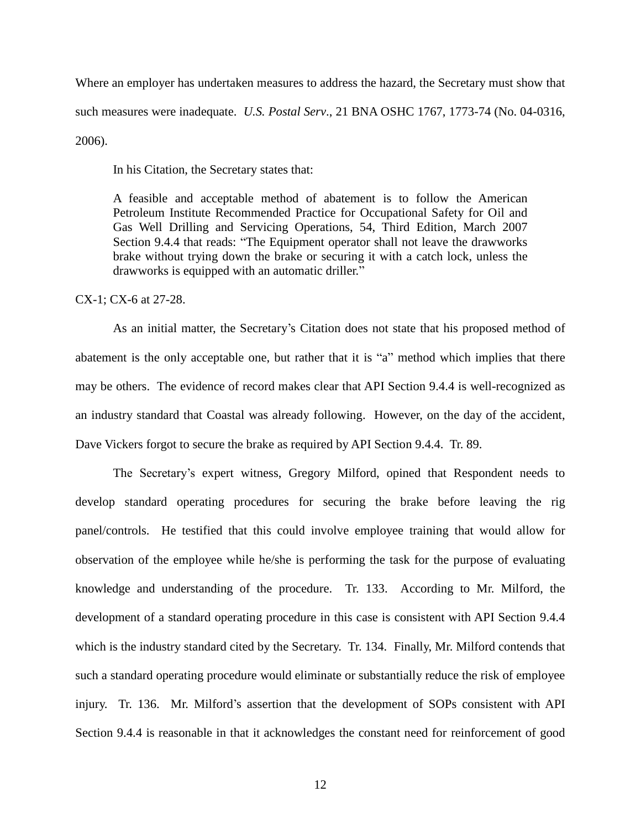Where an employer has undertaken measures to address the hazard, the Secretary must show that such measures were inadequate. *U.S. Postal Serv*., 21 BNA OSHC 1767, 1773-74 (No. 04-0316, 2006).

In his Citation, the Secretary states that:

A feasible and acceptable method of abatement is to follow the American Petroleum Institute Recommended Practice for Occupational Safety for Oil and Gas Well Drilling and Servicing Operations, 54, Third Edition, March 2007 Section 9.4.4 that reads: "The Equipment operator shall not leave the drawworks brake without trying down the brake or securing it with a catch lock, unless the drawworks is equipped with an automatic driller."

CX-1; CX-6 at 27-28.

As an initial matter, the Secretary's Citation does not state that his proposed method of abatement is the only acceptable one, but rather that it is "a" method which implies that there may be others. The evidence of record makes clear that API Section 9.4.4 is well-recognized as an industry standard that Coastal was already following. However, on the day of the accident, Dave Vickers forgot to secure the brake as required by API Section 9.4.4. Tr. 89.

The Secretary's expert witness, Gregory Milford, opined that Respondent needs to develop standard operating procedures for securing the brake before leaving the rig panel/controls. He testified that this could involve employee training that would allow for observation of the employee while he/she is performing the task for the purpose of evaluating knowledge and understanding of the procedure. Tr. 133. According to Mr. Milford, the development of a standard operating procedure in this case is consistent with API Section 9.4.4 which is the industry standard cited by the Secretary. Tr. 134. Finally, Mr. Milford contends that such a standard operating procedure would eliminate or substantially reduce the risk of employee injury. Tr. 136. Mr. Milford's assertion that the development of SOPs consistent with API Section 9.4.4 is reasonable in that it acknowledges the constant need for reinforcement of good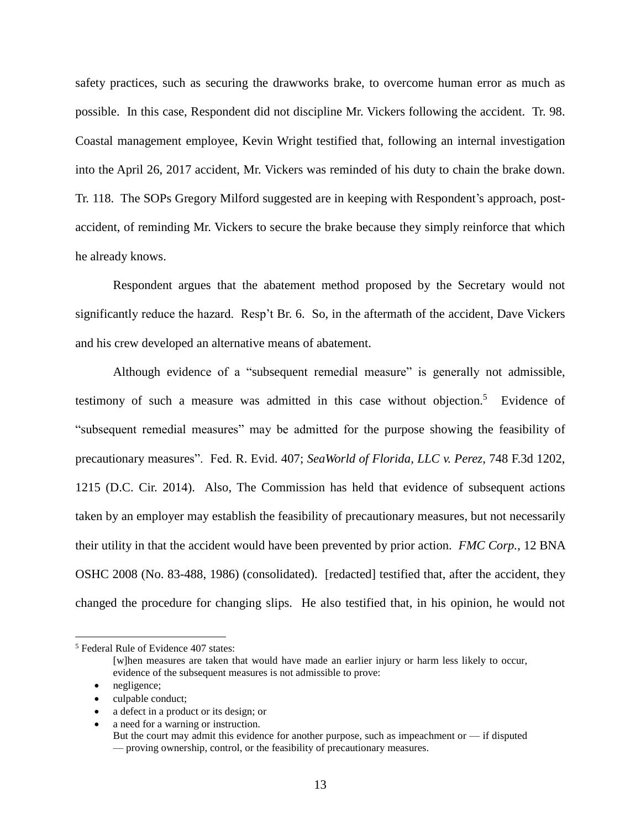safety practices, such as securing the drawworks brake, to overcome human error as much as possible. In this case, Respondent did not discipline Mr. Vickers following the accident. Tr. 98. Coastal management employee, Kevin Wright testified that, following an internal investigation into the April 26, 2017 accident, Mr. Vickers was reminded of his duty to chain the brake down. Tr. 118. The SOPs Gregory Milford suggested are in keeping with Respondent's approach, postaccident, of reminding Mr. Vickers to secure the brake because they simply reinforce that which he already knows.

Respondent argues that the abatement method proposed by the Secretary would not significantly reduce the hazard. Resp't Br. 6. So, in the aftermath of the accident, Dave Vickers and his crew developed an alternative means of abatement.

Although evidence of a "subsequent remedial measure" is generally not admissible, testimony of such a measure was admitted in this case without objection.<sup>5</sup> Evidence of "subsequent remedial measures" may be admitted for the purpose showing the feasibility of precautionary measures". Fed. R. Evid. 407; *SeaWorld of Florida, LLC v. Perez*, 748 F.3d 1202, 1215 (D.C. Cir. 2014). Also, The Commission has held that evidence of subsequent actions taken by an employer may establish the feasibility of precautionary measures, but not necessarily their utility in that the accident would have been prevented by prior action. *FMC Corp.*, 12 BNA OSHC 2008 (No. 83-488, 1986) (consolidated). [redacted] testified that, after the accident, they changed the procedure for changing slips. He also testified that, in his opinion, he would not

- culpable conduct;
- a defect in a product or its design; or
- a need for a warning or instruction.

<sup>5</sup> Federal Rule of Evidence 407 states:

<sup>[</sup>w]hen measures are taken that would have made an earlier injury or harm less likely to occur, evidence of the subsequent measures is not admissible to prove:

<sup>•</sup> negligence;

But the court may admit this evidence for another purpose, such as impeachment or  $-$  if disputed — proving ownership, control, or the feasibility of precautionary measures.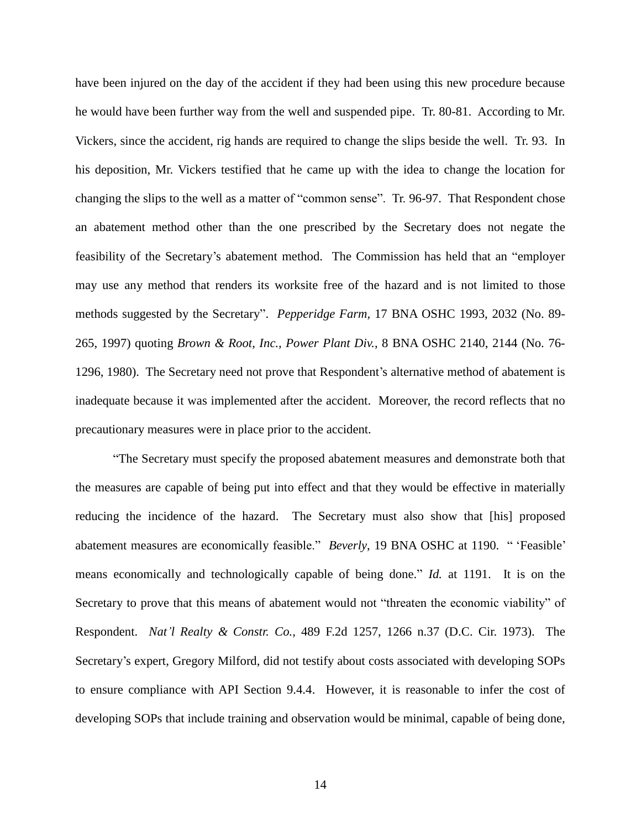have been injured on the day of the accident if they had been using this new procedure because he would have been further way from the well and suspended pipe. Tr. 80-81. According to Mr. Vickers, since the accident, rig hands are required to change the slips beside the well. Tr. 93. In his deposition, Mr. Vickers testified that he came up with the idea to change the location for changing the slips to the well as a matter of "common sense". Tr. 96-97. That Respondent chose an abatement method other than the one prescribed by the Secretary does not negate the feasibility of the Secretary's abatement method. The Commission has held that an "employer may use any method that renders its worksite free of the hazard and is not limited to those methods suggested by the Secretary". *Pepperidge Farm,* 17 BNA OSHC 1993, 2032 (No. 89- 265, 1997) quoting *Brown & Root, Inc., Power Plant Div.*, 8 BNA OSHC 2140, 2144 (No. 76- 1296, 1980). The Secretary need not prove that Respondent's alternative method of abatement is inadequate because it was implemented after the accident. Moreover, the record reflects that no precautionary measures were in place prior to the accident.

"The Secretary must specify the proposed abatement measures and demonstrate both that the measures are capable of being put into effect and that they would be effective in materially reducing the incidence of the hazard. The Secretary must also show that [his] proposed abatement measures are economically feasible." *Beverly*, 19 BNA OSHC at 1190. " 'Feasible' means economically and technologically capable of being done." *Id.* at 1191. It is on the Secretary to prove that this means of abatement would not "threaten the economic viability" of Respondent. *Nat'l Realty & Constr. Co.,* 489 F.2d 1257, 1266 n.37 (D.C. Cir. 1973). The Secretary's expert, Gregory Milford, did not testify about costs associated with developing SOPs to ensure compliance with API Section 9.4.4. However, it is reasonable to infer the cost of developing SOPs that include training and observation would be minimal, capable of being done,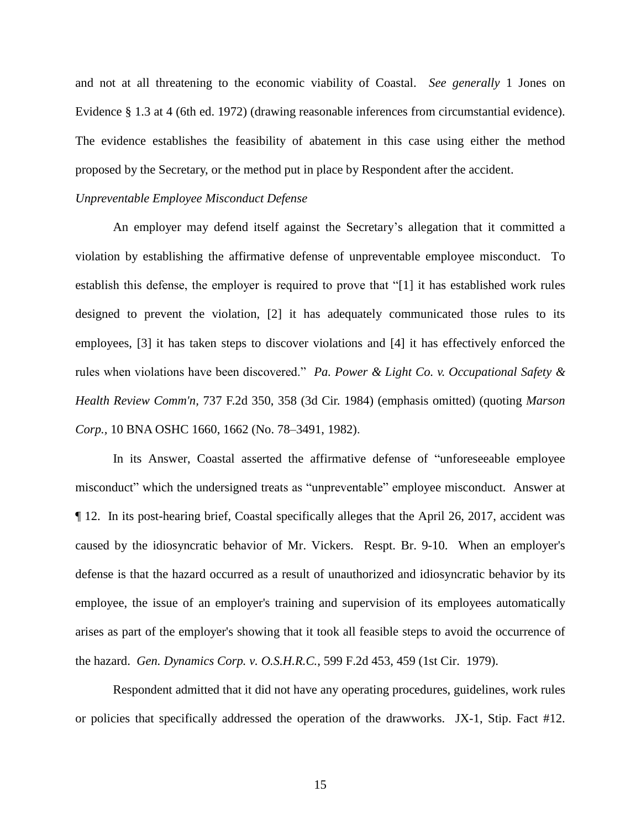and not at all threatening to the economic viability of Coastal. *See generally* 1 Jones on Evidence § 1.3 at 4 (6th ed. 1972) (drawing reasonable inferences from circumstantial evidence). The evidence establishes the feasibility of abatement in this case using either the method proposed by the Secretary, or the method put in place by Respondent after the accident.

# *Unpreventable Employee Misconduct Defense*

An employer may defend itself against the Secretary's allegation that it committed a violation by establishing the affirmative defense of unpreventable employee misconduct. To establish this defense, the employer is required to prove that "[1] it has established work rules designed to prevent the violation, [2] it has adequately communicated those rules to its employees, [3] it has taken steps to discover violations and [4] it has effectively enforced the rules when violations have been discovered." *Pa. Power & Light [Co. v. Occupational Safety](https://1.next.westlaw.com/Link/Document/FullText?findType=Y&serNum=1984130742&pubNum=0000350&originatingDoc=I431cdfabd1c711e4b86bd602cb8781fa&refType=RP&fi=co_pp_sp_350_358&originationContext=document&transitionType=DocumentItem&contextData=(sc.Search)#co_pp_sp_350_358) & Health Review Comm'n,* [737 F.2d 350, 358 \(3d Cir.](https://1.next.westlaw.com/Link/Document/FullText?findType=Y&serNum=1984130742&pubNum=0000350&originatingDoc=I431cdfabd1c711e4b86bd602cb8781fa&refType=RP&fi=co_pp_sp_350_358&originationContext=document&transitionType=DocumentItem&contextData=(sc.Search)#co_pp_sp_350_358) 1984) (emphasis omitted) (quoting *[Marson](https://1.next.westlaw.com/Link/Document/FullText?findType=Y&serNum=1982230952&pubNum=0003227&originatingDoc=I431cdfabd1c711e4b86bd602cb8781fa&refType=CA&originationContext=document&transitionType=DocumentItem&contextData=(sc.Search))  Corp.,* [10 BNA OSHC 1660, 1662](https://1.next.westlaw.com/Link/Document/FullText?findType=Y&serNum=1982230952&pubNum=0003227&originatingDoc=I431cdfabd1c711e4b86bd602cb8781fa&refType=CA&originationContext=document&transitionType=DocumentItem&contextData=(sc.Search)) (No. 78–3491, 1982).

In its Answer, Coastal asserted the affirmative defense of "unforeseeable employee misconduct" which the undersigned treats as "unpreventable" employee misconduct. Answer at ¶ 12. In its post-hearing brief, Coastal specifically alleges that the April 26, 2017, accident was caused by the idiosyncratic behavior of Mr. Vickers. Respt. Br. 9-10. When an employer's defense is that the hazard occurred as a result of unauthorized and idiosyncratic behavior by its employee, the issue of an employer's training and supervision of its employees automatically arises as part of the employer's showing that it took all feasible steps to avoid the occurrence of the hazard. *Gen. Dynamics Corp. v. O.S.H.R.C.*, 599 F.2d 453, 459 (1st Cir. 1979).

Respondent admitted that it did not have any operating procedures, guidelines, work rules or policies that specifically addressed the operation of the drawworks. JX-1, Stip. Fact #12.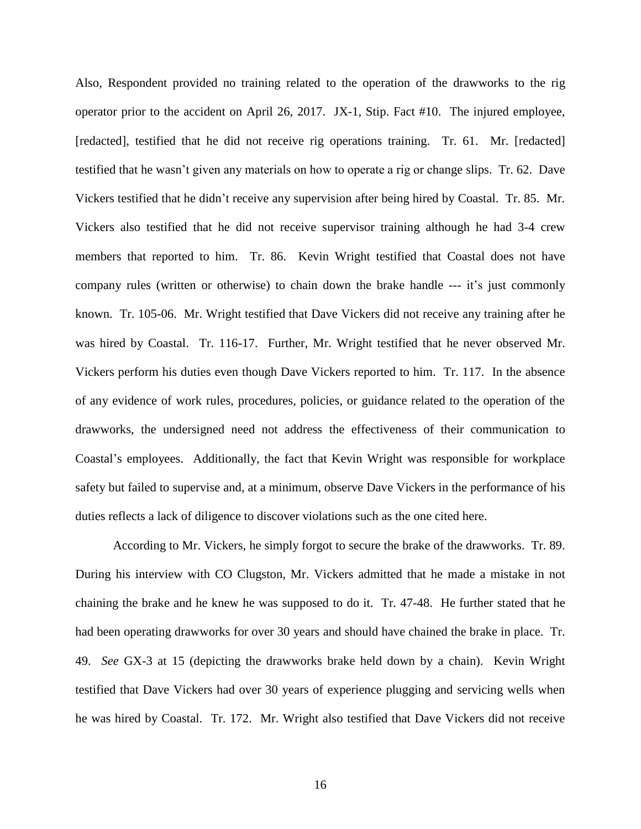Also, Respondent provided no training related to the operation of the drawworks to the rig operator prior to the accident on April 26, 2017. JX-1, Stip. Fact #10. The injured employee, [redacted], testified that he did not receive rig operations training. Tr. 61. Mr. [redacted] testified that he wasn't given any materials on how to operate a rig or change slips. Tr. 62. Dave Vickers testified that he didn't receive any supervision after being hired by Coastal. Tr. 85. Mr. Vickers also testified that he did not receive supervisor training although he had 3-4 crew members that reported to him. Tr. 86. Kevin Wright testified that Coastal does not have company rules (written or otherwise) to chain down the brake handle --- it's just commonly known. Tr. 105-06. Mr. Wright testified that Dave Vickers did not receive any training after he was hired by Coastal. Tr. 116-17. Further, Mr. Wright testified that he never observed Mr. Vickers perform his duties even though Dave Vickers reported to him. Tr. 117. In the absence of any evidence of work rules, procedures, policies, or guidance related to the operation of the drawworks, the undersigned need not address the effectiveness of their communication to Coastal's employees. Additionally, the fact that Kevin Wright was responsible for workplace safety but failed to supervise and, at a minimum, observe Dave Vickers in the performance of his duties reflects a lack of diligence to discover violations such as the one cited here.

According to Mr. Vickers, he simply forgot to secure the brake of the drawworks. Tr. 89. During his interview with CO Clugston, Mr. Vickers admitted that he made a mistake in not chaining the brake and he knew he was supposed to do it. Tr. 47-48. He further stated that he had been operating drawworks for over 30 years and should have chained the brake in place. Tr. 49. *See* GX-3 at 15 (depicting the drawworks brake held down by a chain). Kevin Wright testified that Dave Vickers had over 30 years of experience plugging and servicing wells when he was hired by Coastal. Tr. 172. Mr. Wright also testified that Dave Vickers did not receive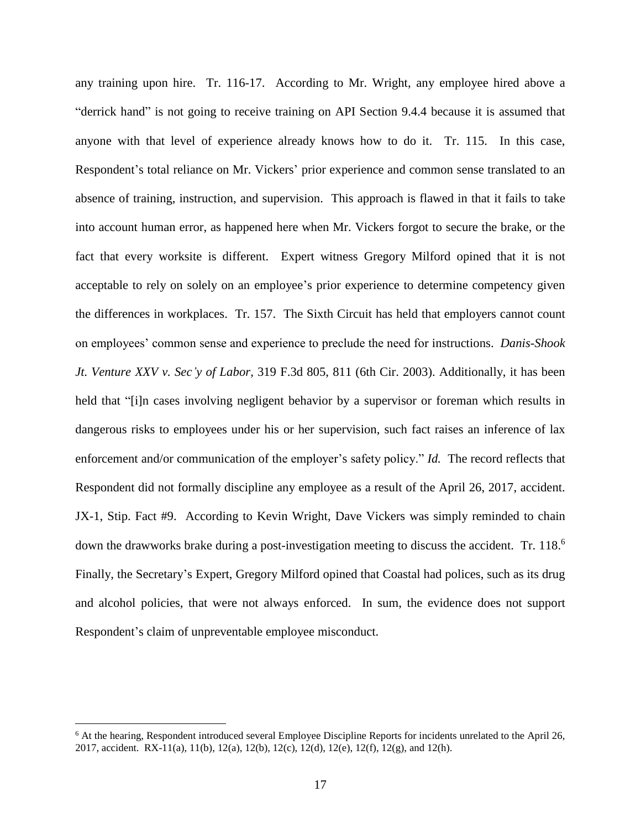any training upon hire. Tr. 116-17. According to Mr. Wright, any employee hired above a "derrick hand" is not going to receive training on API Section 9.4.4 because it is assumed that anyone with that level of experience already knows how to do it. Tr. 115. In this case, Respondent's total reliance on Mr. Vickers' prior experience and common sense translated to an absence of training, instruction, and supervision. This approach is flawed in that it fails to take into account human error, as happened here when Mr. Vickers forgot to secure the brake, or the fact that every worksite is different. Expert witness Gregory Milford opined that it is not acceptable to rely on solely on an employee's prior experience to determine competency given the differences in workplaces. Tr. 157. The Sixth Circuit has held that employers cannot count on employees' common sense and experience to preclude the need for instructions. *Danis-Shook Jt. Venture XXV v. Sec'y of Labor,* 319 F.3d 805, 811 (6th Cir. 2003). Additionally, it has been held that "[i]n cases involving negligent behavior by a supervisor or foreman which results in dangerous risks to employees under his or her supervision, such fact raises an inference of lax enforcement and/or communication of the employer's safety policy." *Id.* The record reflects that Respondent did not formally discipline any employee as a result of the April 26, 2017, accident. JX-1, Stip. Fact #9. According to Kevin Wright, Dave Vickers was simply reminded to chain down the drawworks brake during a post-investigation meeting to discuss the accident. Tr. 118.<sup>6</sup> Finally, the Secretary's Expert, Gregory Milford opined that Coastal had polices, such as its drug and alcohol policies, that were not always enforced. In sum, the evidence does not support Respondent's claim of unpreventable employee misconduct.

<sup>&</sup>lt;sup>6</sup> At the hearing, Respondent introduced several Employee Discipline Reports for incidents unrelated to the April 26, 2017, accident. RX-11(a), 11(b), 12(a), 12(b), 12(c), 12(d), 12(e), 12(f), 12(g), and 12(h).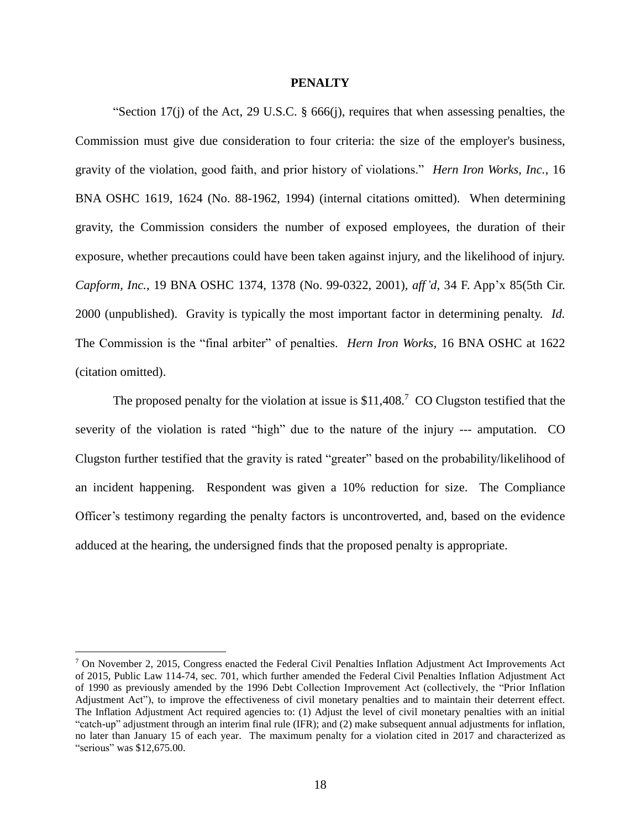# **PENALTY**

"Section 17(j) of the Act, [29 U.S.C. § 666\(j\),](http://web2.westlaw.com/find/default.wl?mt=LaborAndEmployment&db=1000546&rs=WLW14.01&docname=29USCAS666&rp=%2ffind%2fdefault.wl&findtype=L&ordoc=1994530560&tc=-1&vr=2.0&fn=_top&sv=Split&tf=-1&referencepositiontype=T&pbc=00892488&referenceposition=SP%3b267600008f864&utid=1) requires that when assessing penalties, the Commission must give due consideration to four criteria: the size of the employer's business, gravity of the violation, good faith, and prior history of violations." *Hern Iron Works, Inc.*, 16 BNA OSHC 1619, 1624 (No. 88-1962, 1994) (internal citations omitted). When determining gravity, the Commission considers the number of exposed employees, the duration of their exposure, whether precautions could have been taken against injury, and the likelihood of injury. *Capform, Inc.*, 19 BNA OSHC 1374, 1378 (No. 99-0322, 2001), *aff'd*, 34 F. App'x 85(5th Cir. 2000 (unpublished). Gravity is typically the most important factor in determining penalty. *Id.* The Commission is the "final arbiter" of penalties. *Hern Iron Works,* 16 BNA OSHC at 1622 (citation omitted).

The proposed penalty for the violation at issue is  $$11,408$ .<sup>7</sup> CO Clugston testified that the severity of the violation is rated "high" due to the nature of the injury --- amputation. CO Clugston further testified that the gravity is rated "greater" based on the probability/likelihood of an incident happening. Respondent was given a 10% reduction for size. The Compliance Officer's testimony regarding the penalty factors is uncontroverted, and, based on the evidence adduced at the hearing, the undersigned finds that the proposed penalty is appropriate.

<sup>7</sup> On November 2, 2015, Congress enacted the Federal Civil Penalties Inflation Adjustment Act Improvements Act of 2015, Public Law 114-74, sec. 701, which further amended the Federal Civil Penalties Inflation Adjustment Act of 1990 as previously amended by the 1996 Debt Collection Improvement Act (collectively, the "Prior Inflation Adjustment Act"), to improve the effectiveness of civil monetary penalties and to maintain their deterrent effect. The Inflation Adjustment Act required agencies to: (1) Adjust the level of civil monetary penalties with an initial "catch-up" adjustment through an interim final rule (IFR); and (2) make subsequent annual adjustments for inflation, no later than January 15 of each year. The maximum penalty for a violation cited in 2017 and characterized as "serious" was \$12,675.00.